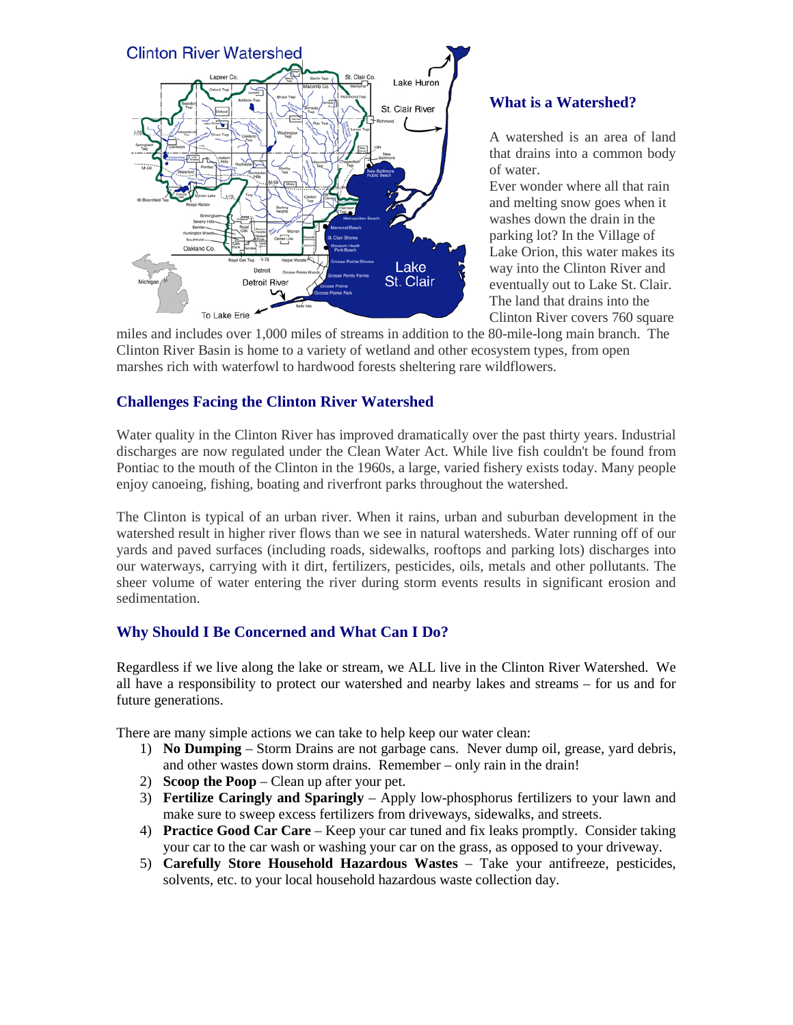

## **What is a Watershed?**

A watershed is an area of land that drains into a common body of water.

Ever wonder where all that rain and melting snow goes when it washes down the drain in the parking lot? In the Village of Lake Orion, this water makes its way into the Clinton River and eventually out to Lake St. Clair. The land that drains into the Clinton River covers 760 square

miles and includes over 1,000 miles of streams in addition to the 80-mile-long main branch. The Clinton River Basin is home to a variety of wetland and other ecosystem types, from open marshes rich with waterfowl to hardwood forests sheltering rare wildflowers.

## **Challenges Facing the Clinton River Watershed**

Water quality in the Clinton River has improved dramatically over the past thirty years. Industrial discharges are now regulated under the Clean Water Act. While live fish couldn't be found from Pontiac to the mouth of the Clinton in the 1960s, a large, varied fishery exists today. Many people enjoy canoeing, fishing, boating and riverfront parks throughout the watershed.

The Clinton is typical of an urban river. When it rains, urban and suburban development in the watershed result in higher river flows than we see in natural watersheds. Water running off of our yards and paved surfaces (including roads, sidewalks, rooftops and parking lots) discharges into our waterways, carrying with it dirt, fertilizers, pesticides, oils, metals and other pollutants. The sheer volume of water entering the river during storm events results in significant erosion and sedimentation.

## **Why Should I Be Concerned and What Can I Do?**

Regardless if we live along the lake or stream, we ALL live in the Clinton River Watershed. We all have a responsibility to protect our watershed and nearby lakes and streams – for us and for future generations.

There are many simple actions we can take to help keep our water clean:

- 1) **No Dumping** Storm Drains are not garbage cans. Never dump oil, grease, yard debris, and other wastes down storm drains. Remember – only rain in the drain!
- 2) **Scoop the Poop** Clean up after your pet.
- 3) **Fertilize Caringly and Sparingly** Apply low-phosphorus fertilizers to your lawn and make sure to sweep excess fertilizers from driveways, sidewalks, and streets.
- 4) **Practice Good Car Care** Keep your car tuned and fix leaks promptly. Consider taking your car to the car wash or washing your car on the grass, as opposed to your driveway.
- 5) **Carefully Store Household Hazardous Wastes** Take your antifreeze, pesticides, solvents, etc. to your local household hazardous waste collection day.